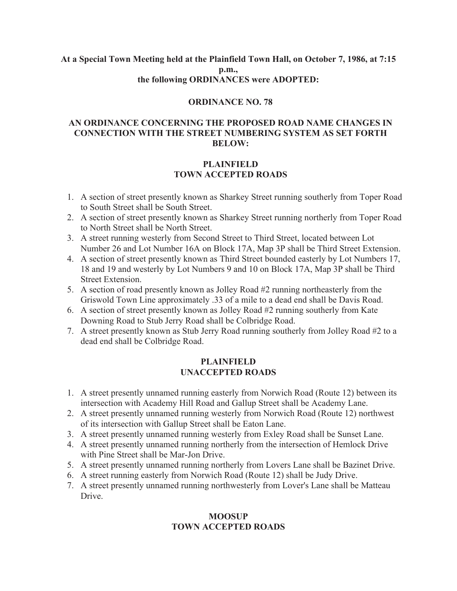#### **At a Special Town Meeting held at the Plainfield Town Hall, on October 7, 1986, at 7:15 p.m., the following ORDINANCES were ADOPTED:**

#### **ORDINANCE NO. 78**

## **AN ORDINANCE CONCERNING THE PROPOSED ROAD NAME CHANGES IN CONNECTION WITH THE STREET NUMBERING SYSTEM AS SET FORTH BELOW:**

## **PLAINFIELD TOWN ACCEPTED ROADS**

- 1. A section of street presently known as Sharkey Street running southerly from Toper Road to South Street shall be South Street.
- 2. A section of street presently known as Sharkey Street running northerly from Toper Road to North Street shall be North Street.
- 3. A street running westerly from Second Street to Third Street, located between Lot Number 26 and Lot Number 16A on Block 17A, Map 3P shall be Third Street Extension.
- 4. A section of street presently known as Third Street bounded easterly by Lot Numbers 17, 18 and 19 and westerly by Lot Numbers 9 and 10 on Block 17A, Map 3P shall be Third Street Extension.
- 5. A section of road presently known as Jolley Road #2 running northeasterly from the Griswold Town Line approximately .33 of a mile to a dead end shall be Davis Road.
- 6. A section of street presently known as Jolley Road #2 running southerly from Kate Downing Road to Stub Jerry Road shall be Colbridge Road.
- 7. A street presently known as Stub Jerry Road running southerly from Jolley Road #2 to a dead end shall be Colbridge Road.

## **PLAINFIELD UNACCEPTED ROADS**

- 1. A street presently unnamed running easterly from Norwich Road (Route 12) between its intersection with Academy Hill Road and Gallup Street shall be Academy Lane.
- 2. A street presently unnamed running westerly from Norwich Road (Route 12) northwest of its intersection with Gallup Street shall be Eaton Lane.
- 3. A street presently unnamed running westerly from Exley Road shall be Sunset Lane.
- 4. A street presently unnamed running northerly from the intersection of Hemlock Drive with Pine Street shall be Mar-Jon Drive.
- 5. A street presently unnamed running northerly from Lovers Lane shall be Bazinet Drive.
- 6. A street running easterly from Norwich Road (Route 12) shall be Judy Drive.
- 7. A street presently unnamed running northwesterly from Lover's Lane shall be Matteau Drive.

## **MOOSUP TOWN ACCEPTED ROADS**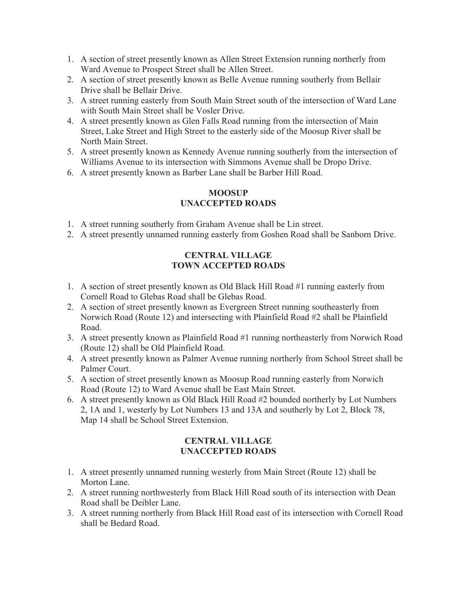- 1. A section of street presently known as Allen Street Extension running northerly from Ward Avenue to Prospect Street shall be Allen Street.
- 2. A section of street presently known as Belle Avenue running southerly from Bellair Drive shall be Bellair Drive.
- 3. A street running easterly from South Main Street south of the intersection of Ward Lane with South Main Street shall be Vosler Drive.
- 4. A street presently known as Glen Falls Road running from the intersection of Main Street, Lake Street and High Street to the easterly side of the Moosup River shall be North Main Street.
- 5. A street presently known as Kennedy Avenue running southerly from the intersection of Williams Avenue to its intersection with Simmons Avenue shall be Dropo Drive.
- 6. A street presently known as Barber Lane shall be Barber Hill Road.

# **MOOSUP UNACCEPTED ROADS**

- 1. A street running southerly from Graham Avenue shall be Lin street.
- 2. A street presently unnamed running easterly from Goshen Road shall be Sanborn Drive.

# **CENTRAL VILLAGE TOWN ACCEPTED ROADS**

- 1. A section of street presently known as Old Black Hill Road #1 running easterly from Cornell Road to Glebas Road shall be Glebas Road.
- 2. A section of street presently known as Evergreen Street running southeasterly from Norwich Road (Route 12) and intersecting with Plainfield Road #2 shall be Plainfield Road.
- 3. A street presently known as Plainfield Road #1 running northeasterly from Norwich Road (Route 12) shall be Old Plainfield Road.
- 4. A street presently known as Palmer Avenue running northerly from School Street shall be Palmer Court.
- 5. A section of street presently known as Moosup Road running easterly from Norwich Road (Route 12) to Ward Avenue shall be East Main Street.
- 6. A street presently known as Old Black Hill Road #2 bounded northerly by Lot Numbers 2, 1A and 1, westerly by Lot Numbers 13 and 13A and southerly by Lot 2, Block 78, Map 14 shall be School Street Extension.

# **CENTRAL VILLAGE UNACCEPTED ROADS**

- 1. A street presently unnamed running westerly from Main Street (Route 12) shall be Morton Lane.
- 2. A street running northwesterly from Black Hill Road south of its intersection with Dean Road shall be Deibler Lane.
- 3. A street running northerly from Black Hill Road east of its intersection with Cornell Road shall be Bedard Road.